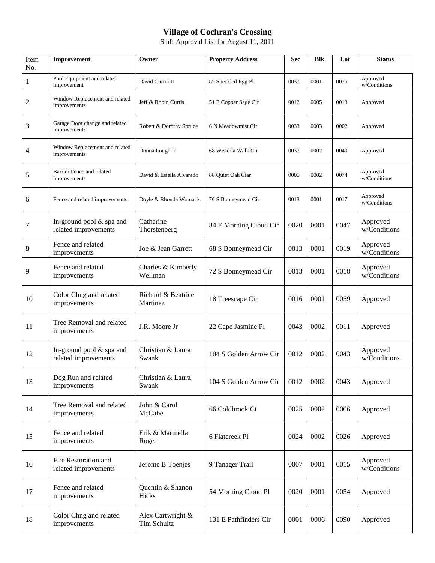## **Village of Cochran's Crossing**

Staff Approval List for August 11, 2011

| Item<br>No.      | Improvement                                      | Owner                            | <b>Property Address</b> | <b>Sec</b> | <b>Blk</b> | Lot  | <b>Status</b>            |
|------------------|--------------------------------------------------|----------------------------------|-------------------------|------------|------------|------|--------------------------|
| $\mathbf{1}$     | Pool Equipment and related<br>improvement        | David Curtin II                  | 85 Speckled Egg Pl      | 0037       | 0001       | 0075 | Approved<br>w/Conditions |
| $\mathbf{2}$     | Window Replacement and related<br>improvements   | Jeff & Robin Curtis              | 51 E Copper Sage Cir    | 0012       | 0005       | 0013 | Approved                 |
| $\mathfrak{Z}$   | Garage Door change and related<br>improvements   | Robert & Dorothy Spruce          | 6 N Meadowmist Cir      | 0033       | 0003       | 0002 | Approved                 |
| 4                | Window Replacement and related<br>improvements   | Donna Loughlin                   | 68 Wisteria Walk Cir    | 0037       | 0002       | 0040 | Approved                 |
| 5                | Barrier Fence and related<br>improvements        | David & Estella Alvarado         | 88 Quiet Oak Ciar       | 0005       | 0002       | 0074 | Approved<br>w/Conditions |
| 6                | Fence and related improvements                   | Doyle & Rhonda Womack            | 76 S Bonneymead Cir     | 0013       | 0001       | 0017 | Approved<br>w/Conditions |
| $\boldsymbol{7}$ | In-ground pool & spa and<br>related improvements | Catherine<br>Thorstenberg        | 84 E Morning Cloud Cir  | 0020       | 0001       | 0047 | Approved<br>w/Conditions |
| $\,8\,$          | Fence and related<br>improvements                | Joe & Jean Garrett               | 68 S Bonneymead Cir     | 0013       | 0001       | 0019 | Approved<br>w/Conditions |
| 9                | Fence and related<br>improvements                | Charles & Kimberly<br>Wellman    | 72 S Bonneymead Cir     | 0013       | 0001       | 0018 | Approved<br>w/Conditions |
| 10               | Color Chng and related<br>improvements           | Richard & Beatrice<br>Martinez   | 18 Treescape Cir        | 0016       | 0001       | 0059 | Approved                 |
| 11               | Tree Removal and related<br>improvements         | J.R. Moore Jr                    | 22 Cape Jasmine Pl      | 0043       | 0002       | 0011 | Approved                 |
| 12               | In-ground pool & spa and<br>related improvements | Christian & Laura<br>Swank       | 104 S Golden Arrow Cir  | 0012       | 0002       | 0043 | Approved<br>w/Conditions |
| 13               | Dog Run and related<br>improvements              | Christian & Laura<br>Swank       | 104 S Golden Arrow Cir  | 0012       | 0002       | 0043 | Approved                 |
| 14               | Tree Removal and related<br>improvements         | John & Carol<br>McCabe           | 66 Coldbrook Ct         | 0025       | 0002       | 0006 | Approved                 |
| 15               | Fence and related<br>improvements                | Erik & Marinella<br>Roger        | 6 Flatcreek Pl          | 0024       | 0002       | 0026 | Approved                 |
| 16               | Fire Restoration and<br>related improvements     | Jerome B Toenjes                 | 9 Tanager Trail         | 0007       | 0001       | 0015 | Approved<br>w/Conditions |
| 17               | Fence and related<br>improvements                | Quentin & Shanon<br>Hicks        | 54 Morning Cloud Pl     | 0020       | 0001       | 0054 | Approved                 |
| 18               | Color Chng and related<br>improvements           | Alex Cartwright &<br>Tim Schultz | 131 E Pathfinders Cir   | 0001       | 0006       | 0090 | Approved                 |